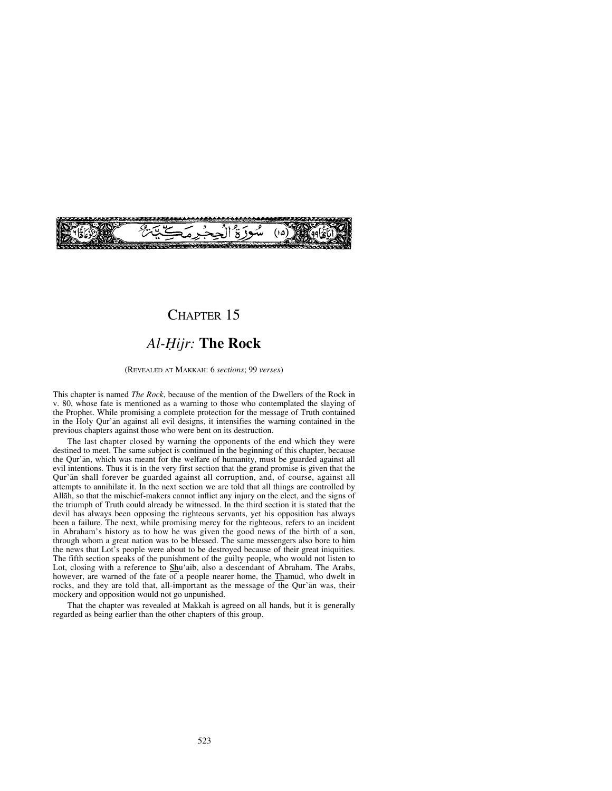

## CHAPTER 15

## *Al-Ïijr:* **The Rock**

#### (REVEALED AT MAKKAH: 6 *sections*; 99 *verses*)

This chapter is named *The Rock*, because of the mention of the Dwellers of the Rock in v. 80, whose fate is mentioned as a warning to those who contemplated the slaying of the Prophet. While promising a complete protection for the message of Truth contained in the Holy Qur'ån against all evil designs, it intensifies the warning contained in the previous chapters against those who were bent on its destruction.

The last chapter closed by warning the opponents of the end which they were destined to meet. The same subject is continued in the beginning of this chapter, because the Qur'ån, which was meant for the welfare of humanity, must be guarded against all evil intentions. Thus it is in the very first section that the grand promise is given that the Qur'ån shall forever be guarded against all corruption, and, of course, against all attempts to annihilate it. In the next section we are told that all things are controlled by Allåh, so that the mischief-makers cannot inflict any injury on the elect, and the signs of the triumph of Truth could already be witnessed. In the third section it is stated that the devil has always been opposing the righteous servants, yet his opposition has always been a failure. The next, while promising mercy for the righteous, refers to an incident in Abraham's history as to how he was given the good news of the birth of a son, through whom a great nation was to be blessed. The same messengers also bore to him the news that Lot's people were about to be destroyed because of their great iniquities. The fifth section speaks of the punishment of the guilty people, who would not listen to Lot, closing with a reference to Shu'aib, also a descendant of Abraham. The Arabs, however, are warned of the fate of a people nearer home, the Thamūd, who dwelt in rocks, and they are told that, all-important as the message of the Qur'ån was, their mockery and opposition would not go unpunished.

That the chapter was revealed at Makkah is agreed on all hands, but it is generally regarded as being earlier than the other chapters of this group.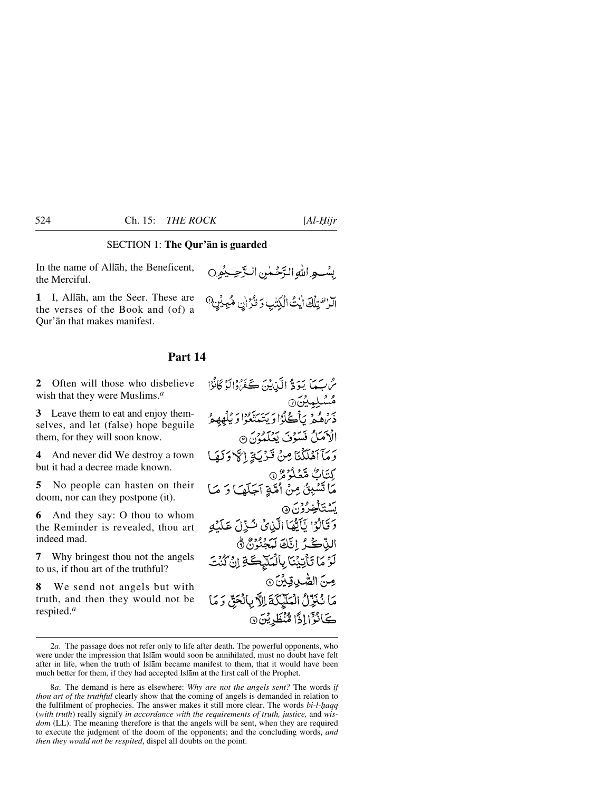### SECTION 1: **The Qur'ån is guarded**

In the name of Allåh, the Beneficent, the Merciful.

**1** I, Allåh, am the Seer. These are the verses of the Book and (of) a Qur'ån that makes manifest.

# بِسْبِهِ اللَّهِ الرَّحْمٰنِ الرَّحِيمُوِنِ الراسيلكانيت الكثب وتؤوان مهيبين

### **Part 14**

**2** Often will those who disbelieve wish that they were Muslims.*a*

**3** Leave them to eat and enjoy themselves, and let (false) hope beguile them, for they will soon know.

**4** And never did We destroy a town but it had a decree made known.

**5** No people can hasten on their doom, nor can they postpone (it).

**6** And they say: O thou to whom the Reminder is revealed, thou art indeed mad.

**7** Why bringest thou not the angels to us, if thou art of the truthful?

**8** We send not angels but with truth, and then they would not be respited.*a*

مُ بِسَماً يَدَدُّ الَّيْنِيْنَ كَفَرُّهُ إِلَّهُ كَانُوْا مُسْلِيِينَ۞ بِرْهِ مِيهِ بِٱڪْلُوٗا وَيَتَعَتَّقُوْا وَيُلْهِهِ هُ الْأَمَلُ فَسَوْفَ يَعْلَمُونَ ۞ وَمَآآهُلَكْنَا مِنْ قَدْيَةِ الْكَلَّاوَلَهَا كِتَابٌ مِّعْلُوْمُ ۞ مَاتَشْبِقُ مِنْ أُهَّةٍ آجَلَهَـا وَ مَـا يَسْتَأْخِرُوْنَ ۞ دَ تَالَوْا نَآَيْهَا الَّذِي شُدِّلَ عَلَيْهِ الذَّكَرُ إِنَّكَ لَمَجْنُونٌ ﴾ لَوْ مَا تَأْتِيْنَا بِالْمَلَيْكَةِ إِنْ كُنْتَ مِنَ الصُّدِيقِينَ۞ مَا نُنَزِّلُ الْمَلَيْكَةَ اِلَّا بِالْحَقِّ وَ مَا ڪَانُوَٓا!ذَاڻُنَظَريْنَ۞

<sup>2</sup>*a*. The passage does not refer only to life after death. The powerful opponents, who were under the impression that Islåm would soon be annihilated, must no doubt have felt after in life, when the truth of Islåm became manifest to them, that it would have been much better for them, if they had accepted Islåm at the first call of the Prophet.

<sup>8</sup>*a*. The demand is here as elsewhere: *Why are not the angels sent?* The words *if thou art of the truthful* clearly show that the coming of angels is demanded in relation to the fulfilment of prophecies. The answer makes it still more clear. The words *bi-l-haqq* (*with truth*) really signify *in accordance with the requirements of truth, justice,* and *wisdom* (LL). The meaning therefore is that the angels will be sent, when they are required to execute the judgment of the doom of the opponents; and the concluding words, *and then they would not be respited*, dispel all doubts on the point.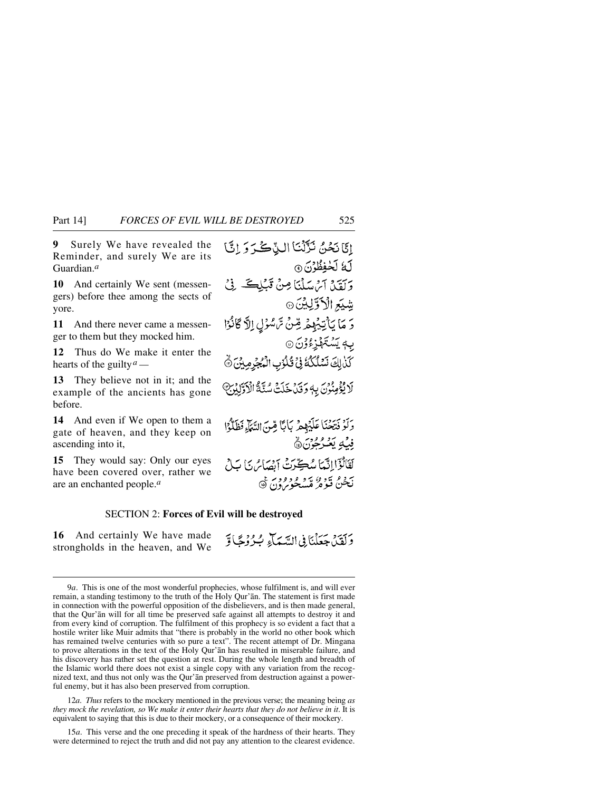**9** Surely We have revealed the Reminder, and surely We are its Guardian.*a*

**10** And certainly We sent (messengers) before thee among the sects of yore.

**11** And there never came a messenger to them but they mocked him.

**12** Thus do We make it enter the hearts of the guilty*a —*

**13** They believe not in it; and the example of the ancients has gone before.

**14** And even if We open to them a gate of heaven, and they keep on ascending into it,

**15** They would say: Only our eyes have been covered over, rather we are an enchanted people.*a*

إِنَّا نَحْنُ نَزَّلْنَا الَّذِّكَّ رَبَّ إِنَّ لَهُ لَخْفِظُوْنَ ۞ وَلَقَدْ آمْ سَلْنَا مِنْ قَبْلِكَ فِيْ شِيَعِ الْاَوَّلِيْنَ ۞ 5 مَا يَأْتِيُهِمْ مِّنْ تَرَسُوْلِ اِلَّا كَانُوْا بِهٖ يَسْتَهْزِءُوۡنَ ۞ كَذَٰإِلَى نَسْلَكُمُّ فِيْ قُلُوْبِ الْمُجْرِمِينَ نَّ لَا يُؤْمِنُونَ بِهِ وَقَدْ خَلَتْ سُنَّةُ الْأَوَّلِيْنِ وَلَوْ فَتَحْنَأُ عَلَيۡهِمۡ بَأَبًا مِّنَ السَّمَآءِ فَظَلُّوۡا فِيُّهِ يَعْرُجُوْنَ۞ كَتَأْلُوْا إِنَّهَا مُهْجِّدَتْ أَبْصَائِرَ بِٱلْجَمَاحِ ن ده مي ده و د و د و د سر ع<br>نحن قوم مسجون ۱۵

وَلَقَدْ، جَعَلْنَا فِي السَّيِّعَاءِ بِّ دُوْجًا وَ

#### SECTION 2: **Forces of Evil will be destroyed**

**16** And certainly We have made strongholds in the heaven, and We

12*a*. *Thus* refers to the mockery mentioned in the previous verse; the meaning being *as they mock the revelation, so We make it enter their hearts that they do not believe in it*. It is equivalent to saying that this is due to their mockery, or a consequence of their mockery.

15*a*. This verse and the one preceding it speak of the hardness of their hearts. They were determined to reject the truth and did not pay any attention to the clearest evidence.

<sup>9</sup>*a*. This is one of the most wonderful prophecies, whose fulfilment is, and will ever remain, a standing testimony to the truth of the Holy Qur'ån. The statement is first made in connection with the powerful opposition of the disbelievers, and is then made general, that the Qur'ån will for all time be preserved safe against all attempts to destroy it and from every kind of corruption. The fulfilment of this prophecy is so evident a fact that a hostile writer like Muir admits that "there is probably in the world no other book which has remained twelve centuries with so pure a text". The recent attempt of Dr. Mingana to prove alterations in the text of the Holy Qur'ån has resulted in miserable failure, and his discovery has rather set the question at rest. During the whole length and breadth of the Islamic world there does not exist a single copy with any variation from the recognized text, and thus not only was the Qur'ån preserved from destruction against a powerful enemy, but it has also been preserved from corruption.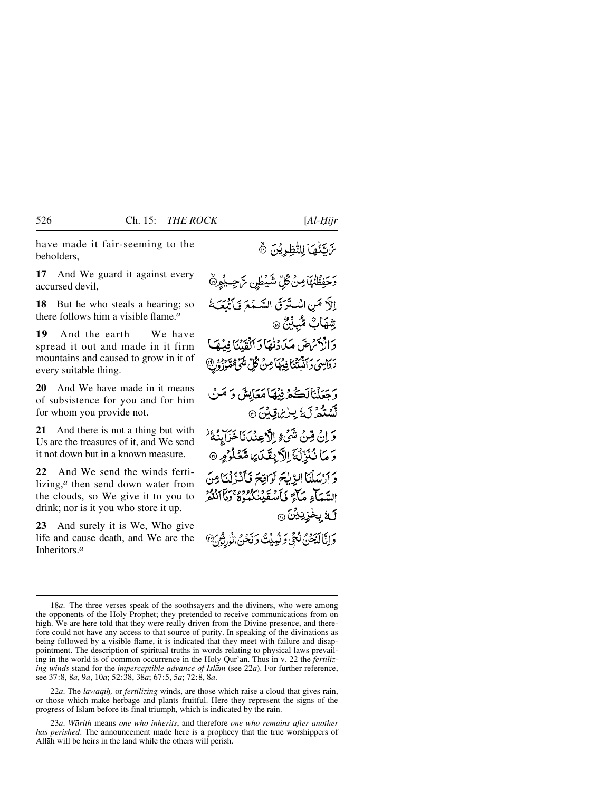have made it fair-seeming to the beholders,

**17** And We guard it against every accursed devil,

**18** But he who steals a hearing; so there follows him a visible flame.*a*

**19** And the earth — We have spread it out and made in it firm mountains and caused to grow in it of every suitable thing.

**20** And We have made in it means of subsistence for you and for him for whom you provide not.

**21** And there is not a thing but with Us are the treasures of it, and We send it not down but in a known measure.

**22** And We send the winds fertilizing,*a* then send down water from the clouds, so We give it to you to drink; nor is it you who store it up.

**23** And surely it is We, Who give life and cause death, and We are the Inheritors.*a*

وَحَفِظْنَهَامِنْ كُلِّ شَيْطِين تَرْجِـيْمِنَّ إلَّا مَنِ اسْتَرَقَ السَّمْعَ فَبَاتِيْتِ تِتْنَهَابٌ مُثَّبِيْنٌ ۞ دَالْأَمْرَضَ مَدَدْنَهَا دَ ٱلْقَدْمَا فِيكِهَا رَدَانِيَ دَاَنَبْتُنَا فِيهَا مِنْ كُلِّ شَيْءَ مَّوْزُوْنَ ۖ وَجَعَلْنَا لَكُمْ فِيْهَا مَعَايِشَ وَ مَنْ ڷۺؿػۯڶؿ*ؙ*ڹڒ*ڹ*ڗؾؽڹ۞ وَإِنْ مِّنْ شَيْءٍ إِلاَّجِنْدَنَاخَرَايِنَهُ َ وَ مَا نُّنَزِّلُّهَ اِلْأَرِيقَىَ بِهِ مَّعْلُوْمٍ @ وَإِنْسَلَنَا الرَّبِّيحَ لَوَاقِعَ فَبَانَنَيْ لَمْنَامِنَ السَّيَاءِ مَآجَ فَأَسْقَيْنِكُمُودُهُ وَمَآيَنَهُمْ ڷ؋ۑڂ۠ڒۣؽؚؽؙ*ؾ*ٛ ر إِيَّا أَبْيَحْنُ نَكْبَى وَ نُدِيِّتْ دَيْخَنُّ الْوٰرِدْدُنِ®

22a. The lawāqih, or *fertilizing* winds, are those which raise a cloud that gives rain, or those which make herbage and plants fruitful. Here they represent the signs of the progress of Islåm before its final triumph, which is indicated by the rain.

23*a*. *Wårith* means *one who inherits*, and therefore *one who remains after another has perished*. The announcement made here is a prophecy that the true worshippers of Allåh will be heirs in the land while the others will perish.

تَ يَتَّعُهَا لِلتُّظِرِيْنَ ۞

<sup>18</sup>*a*. The three verses speak of the soothsayers and the diviners, who were among the opponents of the Holy Prophet; they pretended to receive communications from on high. We are here told that they were really driven from the Divine presence, and therefore could not have any access to that source of purity. In speaking of the divinations as being followed by a visible flame, it is indicated that they meet with failure and disappointment. The description of spiritual truths in words relating to physical laws prevailing in the world is of common occurrence in the Holy Qur'ån. Thus in v. 22 the *fertilizing winds* stand for the *imperceptible advance of Islåm* (see 22*a*). For further reference, see 37:8, 8*a*, 9*a*, 10*a*; 52:38, 38*a*; 67:5, 5*a*; 72:8, 8*a*.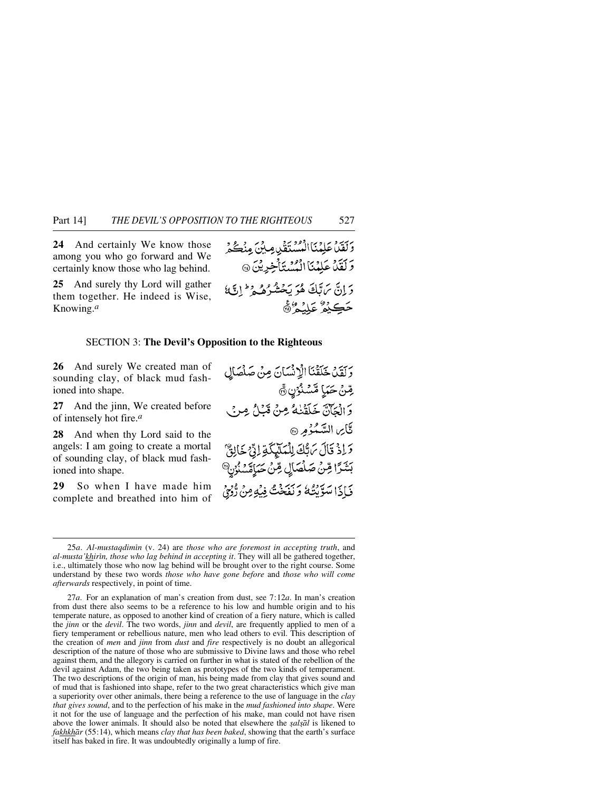Part 14] *THE DEVIL'S OPPOSITION TO THE RIGHTEOUS* 527

**24** And certainly We know those among you who go forward and We certainly know those who lag behind.

**25** And surely thy Lord will gather them together. He indeed is Wise, Knowing.*a*

وَلَقَلَا عَلِيْنَا الْمُسْتَقَلِيهِ بِنَ مِنْكُمْ دَ لَقَدْ عَلِمْنَا الْمُسْتَأْخِرِينَ @ دَ إِنَّ يَرَتَكَ هُوَ يَحْشُرُهُ هُوَ ۖ إِنَّ يَأْ حَڪِيْمٌ عَلَيْمٌ ﴾

#### SECTION 3: **The Devil's Opposition to the Righteous**

**26** And surely We created man of sounding clay, of black mud fashioned into shape.

**27** And the jinn, We created before of intensely hot fire.*a*

**28** And when thy Lord said to the angels: I am going to create a mortal of sounding clay, of black mud fashioned into shape.

**29** So when I have made him complete and breathed into him of

وَلَقَدْ خَلَقْنَا الْإِنْسَانَ مِنْ صَلْصَالٍ ِمِّنْ حَبَاٍ مِّسْنُوْنِ۞ وَالْجَآنَّ خَلَقْنَهُ مِنْ قَبْلُ مِنْ تَأْيِرِ السَّبْدُومِ ۞ 51ذُ قَالَ مَاتَّكَ لِلْمَلَيْكَةِ لِنَّ خَا بَشَرًا مِّنْ صَلْصَالِ مِّنْ حَبَامَّسْنُوْنَ® فَإِذَا سَوَّيْتُهُ وَنَفَخْتُ فِيُومِنُ رُّمِيْ

27*a*. For an explanation of man's creation from dust, see 7:12*a*. In man's creation from dust there also seems to be a reference to his low and humble origin and to his temperate nature, as opposed to another kind of creation of a fiery nature, which is called the *jinn* or the *devil*. The two words, *jinn* and *devil*, are frequently applied to men of a fiery temperament or rebellious nature, men who lead others to evil. This description of the creation of *men* and *jinn* from *dust* and *fire* respectively is no doubt an allegorical description of the nature of those who are submissive to Divine laws and those who rebel against them, and the allegory is carried on further in what is stated of the rebellion of the devil against Adam, the two being taken as prototypes of the two kinds of temperament. The two descriptions of the origin of man, his being made from clay that gives sound and of mud that is fashioned into shape, refer to the two great characteristics which give man a superiority over other animals, there being a reference to the use of language in the *clay that gives sound*, and to the perfection of his make in the *mud fashioned into shape*. Were it not for the use of language and the perfection of his make, man could not have risen above the lower animals. It should also be noted that elsewhere the *sals* $\bar{a}$ *l* is likened to *fakhkhår* (55:14), which means *clay that has been baked*, showing that the earth's surface itself has baked in fire. It was undoubtedly originally a lump of fire.

<sup>25</sup>*a*. *Al-mustaqdimßn* (v. 24) are *those who are foremost in accepting truth*, and *al-musta'khirßn, those who lag behind in accepting it*. They will all be gathered together, i.e., ultimately those who now lag behind will be brought over to the right course. Some understand by these two words *those who have gone before* and *those who will come afterwards* respectively, in point of time.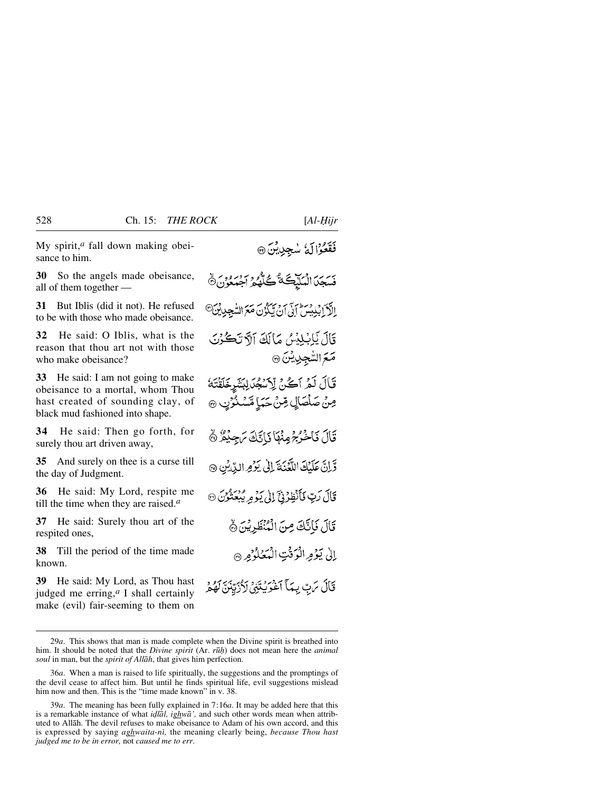My spirit,*a* fall down making obeisance to him.

**30** So the angels made obeisance, all of them together —

**31** But Iblis (did it not). He refused to be with those who made obeisance.

**32** He said: O Iblis, what is the reason that thou art not with those who make obeisance?

**33** He said: I am not going to make obeisance to a mortal, whom Thou hast created of sounding clay, of black mud fashioned into shape.

**34** He said: Then go forth, for surely thou art driven away,

**35** And surely on thee is a curse till the day of Judgment.

**36** He said: My Lord, respite me till the time when they are raised.*a*

**37** He said: Surely thou art of the respited ones,

**38** Till the period of the time made known.

**39** He said: My Lord, as Thou hast judged me erring,*a* I shall certainly make (evil) fair-seeming to them on

فَقَعُوْالَهُ سُجِدِينٌ ۞ فَسَجَدَ الْمَلْيِكَةُ كُلُّهُ بِمَعْمَرٍ اجْمَعُوْنَ ۞ الكرَّابْلِيْسْ إِنِّي أَنْ يَكْزُنَ مَعَ السَّجِدِيْنَ<sup>@</sup> قَالَ يَابِلِيْسُ مَالَكَ آلَا تَكُونَ مَعَ الشَّجِيِيِّينَ ۞ قَالَ لَمْ أَكُنْ لِأَسْجُدَلِبَنَّبِرِخَلَقْتَهُ مِنْ صَلْصَالِ مِّنْ حَيَا مَّسْنُوْنِ ۞ قَالَ فَأَخْرُجُ مِنْهَا فَإِنَّكَ يَجِيْدُ ﴾ وَّإِنَّ عَلَيْكَ اللَّغُنَةَ إِلَىٰ يَوْمِ الدِّيْنِ ۞ قَالَ رَبِّ فَأَنْظِرْنَيَّ إِلَىٰ يَوْمِرِ يُبْعَثُوْنَ ۞ قَالَ فَإِنَّكَ مِنَ الْمُنْظَرِيْنَ ﴾ إِلَىٰ يَؤْمِرالْوَقَّتِ الْمَعَلَوُمِ ۞

قَالَ يَرِبّ بِيَآ آَخْرَيْتَنِيۡ لِأَرۡتِيۡنَٰٓ لَٰهُمۡ

<sup>29</sup>*a*. This shows that man is made complete when the Divine spirit is breathed into him. It should be noted that the *Divine spirit* (Ar. *r∂ƒ*) does not mean here the *animal soul* in man, but the *spirit of Allåh*, that gives him perfection.

<sup>36</sup>*a*. When a man is raised to life spiritually, the suggestions and the promptings of the devil cease to affect him. But until he finds spiritual life, evil suggestions mislead him now and then. This is the "time made known" in v. 38.

<sup>39</sup>*a*. The meaning has been fully explained in 7:16*a*. It may be added here that this is a remarkable instance of what *idlal*, *ighwa'*, and such other words mean when attributed to Allåh. The devil refuses to make obeisance to Adam of his own accord, and this is expressed by saying *aghwaita-nß,* the meaning clearly being, *because Thou hast judged me to be in error,* not *caused me to err*.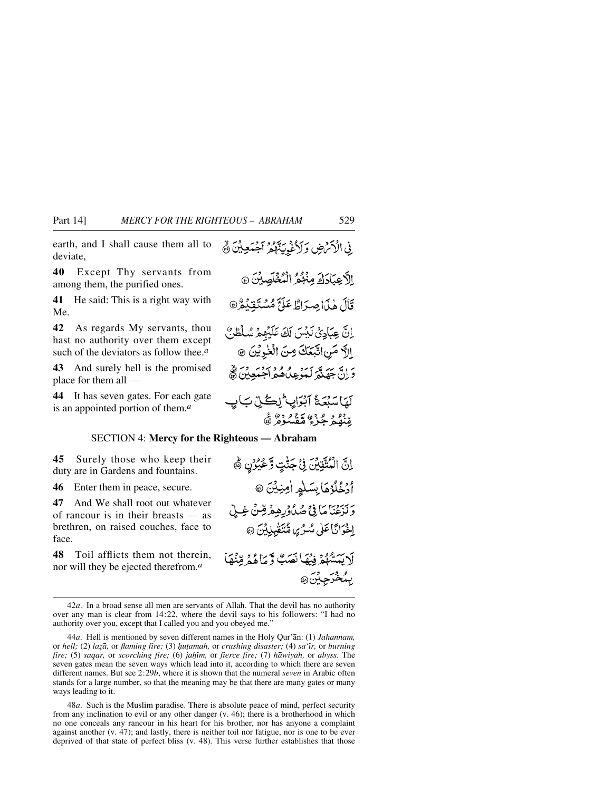earth, and I shall cause them all to deviate,

**40** Except Thy servants from among them, the purified ones.

**41** He said: This is a right way with Me.

**42** As regards My servants, thou hast no authority over them except such of the deviators as follow thee.*a*

**43** And surely hell is the promised place for them all —

**44** It has seven gates. For each gate is an appointed portion of them.*a*

#### SECTION 4: **Mercy for the Righteous — Abraham**

**45** Surely those who keep their duty are in Gardens and fountains.

**46** Enter them in peace, secure.

**47** And We shall root out whatever of rancour is in their breasts — as brethren, on raised couches, face to face.

**48** Toil afflicts them not therein, nor will they be ejected therefrom.*a*

42*a*. In a broad sense all men are servants of Allåh. That the devil has no authority over any man is clear from 14:22, where the devil says to his followers: "I had no authority over you, except that I called you and you obeyed me."

44*a*. Hell is mentioned by seven different names in the Holy Qur'ån: (1) *Jahannam,* or *hell;* (2) *la˚å,* or *flaming fire;* (3) *ƒu∆amah,* or *crushing disaster;* (4) *sa'ßr,* or *burning fire;* (5) *saqar,* or *scorching fire;* (6) *jaħm,* or *fierce fire;* (7) *håwiyah,* or *abyss*. The seven gates mean the seven ways which lead into it, according to which there are seven different names. But see 2:29*b*, where it is shown that the numeral *seven* in Arabic often stands for a large number, so that the meaning may be that there are many gates or many ways leading to it.

48*a*. Such is the Muslim paradise. There is absolute peace of mind, perfect security from any inclination to evil or any other danger (v. 46); there is a brotherhood in which no one conceals any rancour in his heart for his brother, nor has anyone a complaint against another (v. 47); and lastly, there is neither toil nor fatigue, nor is one to be ever deprived of that state of perfect bliss (v. 48). This verse further establishes that those

الأَعِبَادَكَ مِنْهُمُ الْمُخْلَصِينَ @ قَالَ هٰذَا صِرَاطٌ عَلَيَّ مُسْتَفِيْحُرُ® اِنَّ عِبَادِيُ لَيْسَ لَكَ عَلَيْهِمْ سُلْطُنٌ الَّهُ مَنِ اتَّبَعَكَ مِنَ الْذُويُنَ @ دَانَ جَهَنَّهُ كَمُؤْعِلُاهُمْ أَجْمَعِينٌ ﴾

فِي الْأَمْهِنِ وَلَأُغْوِيَنَّهُمُ آجَمَعِينَ ﴾

لَهَاسَبْعَةُ آبْوَايِحْ لِكُلِّ بَابِ ة بِنْمُهُمْ جُزْءٌ مُتَّقْسُومٌ ۞

إِنَّ الْمُتَّقِيِّنَ فِي جَنَّتٍ وَّعُيُوْنٍ ﴾ أَدْخُلُوْهَا بِسَلْمٍ اٰمِنِيْنَ ۞ دَ بَنِعْنَامَا فِي صُلُادِيڤِهْ رِّسْنَ غِيلَّ اخْوَانَا عَلَى سُيُرِيهِ مُنْتَقْبِلِيْنَ ۞ لَابَيْتَشَهَّمْ فِيْهَا نَصَبُّ وَّ مَا هُمْ مِّنْهَا *ۑؠؠٛڂٛڗڿ*ؽڽؘ۞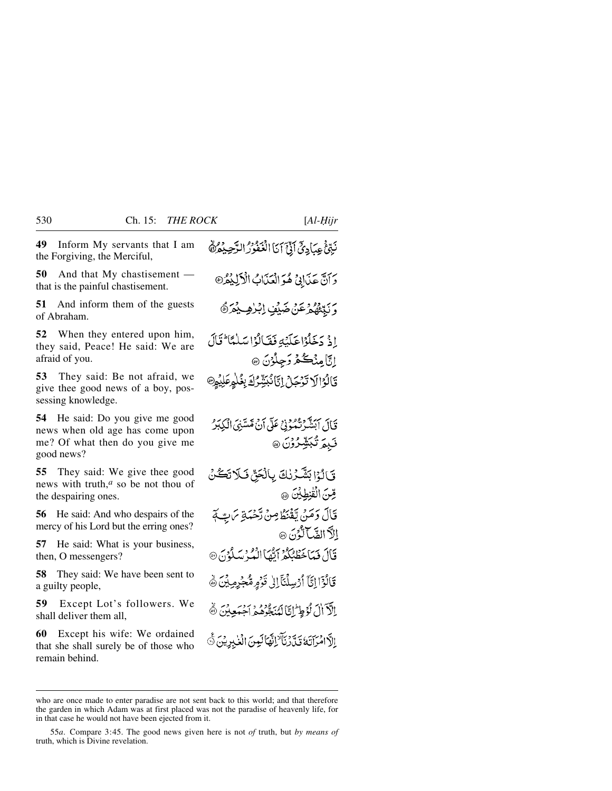**49** Inform My servants that I am the Forgiving, the Merciful,

**50** And that My chastisement that is the painful chastisement.

**51** And inform them of the guests of Abraham.

**52** When they entered upon him, they said, Peace! He said: We are afraid of you.

**53** They said: Be not afraid, we give thee good news of a boy, possessing knowledge.

**54** He said: Do you give me good news when old age has come upon me? Of what then do you give me good news?

**55** They said: We give thee good news with truth,*a* so be not thou of the despairing ones.

**56** He said: And who despairs of the mercy of his Lord but the erring ones?

**57** He said: What is your business, then, O messengers?

**58** They said: We have been sent to a guilty people,

**59** Except Lot's followers. We shall deliver them all,

**60** Except his wife: We ordained that she shall surely be of those who remain behind.

نَبِّئُ عِبَادِئِ اَنَّىَ اَنَّ الْعَفُورُ الرَّحِيْمُ دَانَ عَذَابِيٌ هُوَ الْعَذَابُ الْأَلِيْمُرُ وَبَبِّئَهُمْ عَنْ ضَيْفٍ إِبْرٰهِ يُمَرَّهُ إِذْ دَخَلُوْاحَلَيْهِ فَقَالُوْاسَلْمَا يَلَلَّ إِنَّامِنْكُمْ وَجِلْوُنَ ۞ قَالَوْالَا تَوْجَلُ إِيَّانُكِيَّنَّدُكَ بِغُلْمِطَلِيْطِ قَالَ ٱبَيَّنَّهُمْ تُمُؤْنِي عَلَى أَنْ مَّسَّنِيَ الْمَكِبَدُ فَبِمَ تُبَشِّرُوْنَ @ قَالُوْا بَشَّدُنْكَ بِالْحَقِّ فَلَا تَكُنُ قِنَ الْقُنِطِيْنَ ۞ قَالَ وَمَنْ يَقْنَطُوسُ رَّحْمَةِ يَرْتِيَةِ الكرالصّالوُنَ @ قَالَ فَمَاخَطْبُكُمْ اَيُّهَا الْدُرْسَلُوْنَ @ قَالُوْٓا!تَآ ٱرۡسِلۡنَآاِلِ تَوۡمِ مُّجۡرِمِیۡنَ ۞ إِلَّا أَنْ نُوَطِّ إِنَّا لَيُنَجُّدُهُمْ أَجْهَعِينَ ﴾ ٳڷٵڡٛڗٳؘؾڬۊڐۯڹؘٲ<sup>ٷ</sup>ٳڹؖۿٵڹڛؘٵڷڂڹڔؽؽؘ

who are once made to enter paradise are not sent back to this world; and that therefore the garden in which Adam was at first placed was not the paradise of heavenly life, for in that case he would not have been ejected from it.

<sup>55</sup>*a*. Compare 3:45. The good news given here is not *of* truth, but *by means of* truth, which is Divine revelation.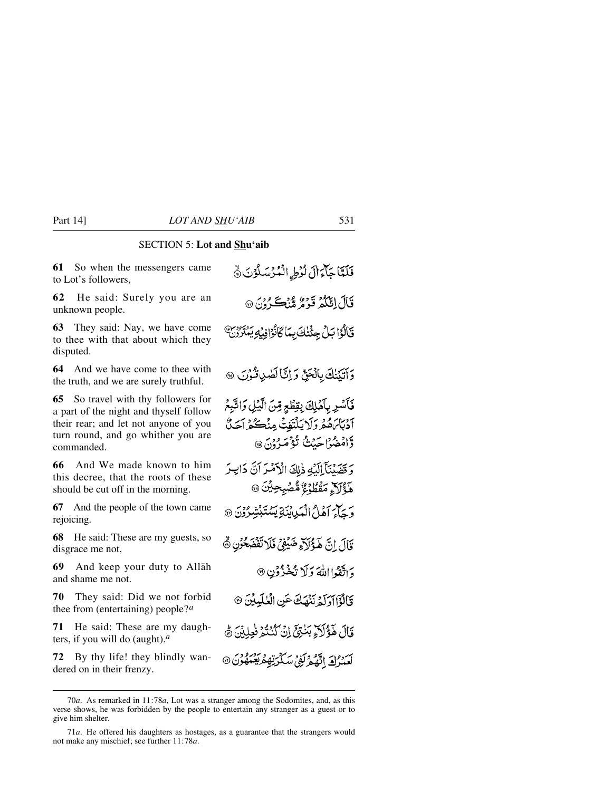### SECTION 5: **Lot and Shu'aib**

**61** So when the messengers came to Lot's followers,

**62** He said: Surely you are an unknown people.

**63** They said: Nay, we have come to thee with that about which they disputed.

**64** And we have come to thee with the truth, and we are surely truthful.

**65** So travel with thy followers for a part of the night and thyself follow their rear; and let not anyone of you turn round, and go whither you are commanded.

**66** And We made known to him this decree, that the roots of these should be cut off in the morning.

**67** And the people of the town came rejoicing.

**68** He said: These are my guests, so disgrace me not,

**69** And keep your duty to Allåh and shame me not.

**70** They said: Did we not forbid thee from (entertaining) people?*a*

**71** He said: These are my daughters, if you will do (aught).*a*

**72** By thy life! they blindly wandered on in their frenzy.

فَلَتَاحَاءَالَ لُؤُطِ الْمُزْسَلُوْنَ ﴾ قَالَ إِنَّكُمْ قَوْمٌ مِّنْڪَرُوْنَ ۞ قَالُوْا بَلْ جِئْنِكَ بِمَاكَانُوْافِيْهِ يَمْتَرُوْنَ دَأَتَيْنَكَ بِالْحَقِّ دَاتَّا لَصْدِاقُوْنَ ۞ فَأَسْرِ بِأَهْلِكَ بِقِطْعِ مِّنَ الَّبْلِ وَاتَّبِعُ آدْبَابَهُمْ دَلَا يَلْتَفِتُّ مِنْكُمْ آحَدٌّ وَّامْضُوْا حَيْثُ نُوْصَرُوْنَ ۞ وَقَضَيْنَآَ الْكَهِ ذَلِكَ الْأَصْرَ أَنَّ دَايِيرَ هَؤَلَاءِ مَقْطُوْعُ مُّصْبِحِيْنَ ۞ وَجَلَّىَ أَهْلُ الْعَبِايِّنَةِ يَسْتَبْتِشِرُوْنَ @ قَالَ إِنَّ هَؤُلاَءٍ ضَيْفِي فَلَا تَفْضَحُرْنِ ﴾ دَ اتَّقَدُا اللَّهَ وَلَا تَكْنُوْنِ ۞ كَالْؤَاآرَلَهُ نَنْهَكَ عَنِ الْعٰلَيْثِينَ ۞ قَالَ هَؤُلَاءٍ بَنُدِّيِّ إِنْ كُنْتُمْ فَعِلِيْنَ ۞ أَسَيْرُ فِي اتَّعُدْمَ كَفِيٍّ سَكَّرَتِهِ مُرَبَّنِتُهُوْنَ @

<sup>70</sup>*a*. As remarked in 11:78*a*, Lot was a stranger among the Sodomites, and, as this verse shows, he was forbidden by the people to entertain any stranger as a guest or to give him shelter.

<sup>71</sup>*a*. He offered his daughters as hostages, as a guarantee that the strangers would not make any mischief; see further 11:78*a*.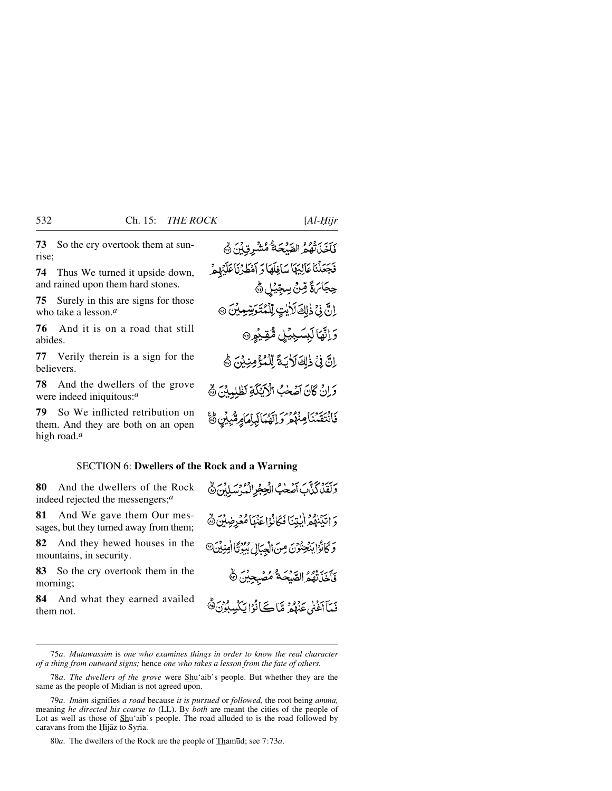**73** So the cry overtook them at sunrise;

**74** Thus We turned it upside down, and rained upon them hard stones.

**75** Surely in this are signs for those who take a lesson.*a*

**76** And it is on a road that still abides.

**77** Verily therein is a sign for the believers.

**78** And the dwellers of the grove were indeed iniquitous:*a*

**79** So We inflicted retribution on them. And they are both on an open high road.*a*

فَأَخَذَتْهُمُ الصَّبْحَةُ مُشْرِقٍ بِنَ ۞ فَجَعَلْنَا عَالِيَهَا سَافِلَهَا وَ آمْطُرْنَا عَلَيْهِمْ <sub>ڮ</sub>ڮٲ؆ةٞ قِنْ سِجِّيْل ۞ انَّ فِي ذٰلِكَ لَأَيْتِ لِلْمُتَوَسِّيِدِيْنَ ۞ وَإِنَّهَا لَبِسَبِيْلِ مُّقِيْمِ @ اِنَّ فِيْ ذٰلِكَ لَأَيَـةً لِّلْمُؤْمِنِيْنَ ﴾ وَإِنْ كَانَ آصَحْبُ الْأَيْكَةِ لَظْلِمِبْنَ ﴾ فَانْتَقَىنَا مِنْهُمْ وَإِنَّهُمَالِبِإِمَامِهِمْبِيْنِ ﴾

### SECTION 6: **Dwellers of the Rock and a Warning**

**80** And the dwellers of the Rock indeed rejected the messengers;*a*

**81** And We gave them Our messages, but they turned away from them;

**82** And they hewed houses in the mountains, in security.

**83** So the cry overtook them in the morning;

**84** And what they earned availed them not.

رَيْدَهُ كَذَبَ بَرْيَدْ الْجِجْرِالْمُرْسَلِيْنَ ١ وَاتَيْنَهُمُ الْيَتِنَا فَكَانُوًا عَنْهَا مُعْرِضِيْنَ ٥ وَ كَانُوْا بَنْجِتُوْنَ مِنَ الْجِبَالِ بُيُوْتًا امِنِيْنَ® فَأَخَذَتْهُمُ الصَّبِحَةُ مُصَبِحِيْنَ ۞ فِيآ آخِنِي عَنْدُهُ مَيَّا يَجَانُوْا يَكْسِبُوْنَ ﴾

75*a*. *Mutawassim* is *one who examines things in order to know the real character of a thing from outward signs;* hence *one who takes a lesson from the fate of others.*

78*a*. *The dwellers of the grove* were Shu'aib's people. But whether they are the same as the people of Midian is not agreed upon.

79*a*. *Imåm* signifies *a road* because *it is pursued* or *followed,* the root being *amma,* meaning *he directed his course to* (LL). By *both* are meant the cities of the people of Lot as well as those of  $Shu$  aib's people. The road alluded to is the road followed by caravans from the Hijaz to Syria.

80*a*. The dwellers of the Rock are the people of Tham∂d; see 7:73*a*.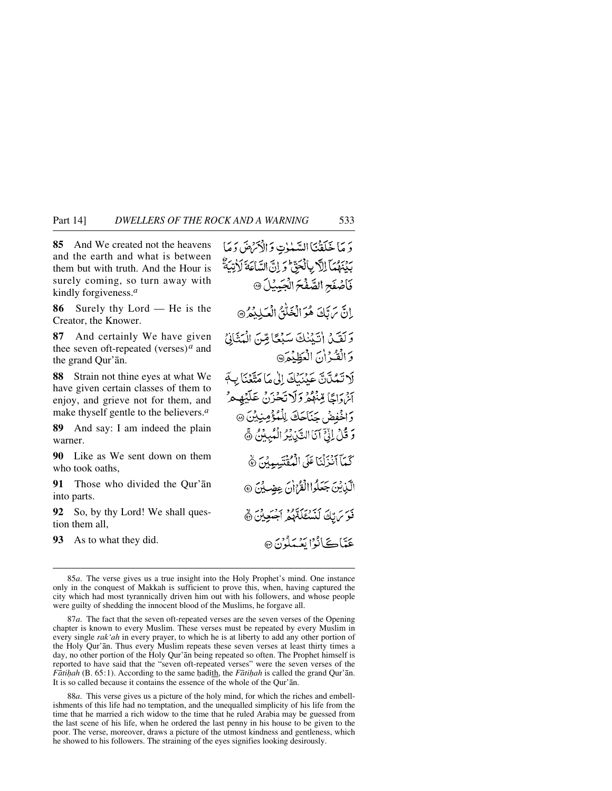Part 14] *DWELLERS OF THE ROCK AND A WARNING* 533

**85** And We created not the heavens and the earth and what is between them but with truth. And the Hour is surely coming, so turn away with kindly forgiveness.*a*

**86** Surely thy Lord — He is the Creator, the Knower.

**87** And certainly We have given thee seven oft-repeated (verses)*a* and the grand Qur'ån.

**88** Strain not thine eyes at what We have given certain classes of them to enjoy, and grieve not for them, and make thyself gentle to the believers.*a*

**89** And say: I am indeed the plain warner.

**90** Like as We sent down on them who took oaths,

**91** Those who divided the Qur'ån into parts.

**92** So, by thy Lord! We shall question them all,

**93** As to what they did.

وَ مَا خَلَقْنَا السَّمْوٰتِ وَالْأَمْرَضَ وَمَا بَدِّنَهُمَّآ اِلَّا بِالْحَقِّ وَ إِنَّ السَّاعَةَ لَأَنِيَةٌ فَاصْفَحِ الصَّفَحَ الْجَيِيْلَ @ اِنَّ يَهَّكَ هُوَ الْخَلْقُ الْعَلِيْدُ® وَلَقَيْنَ الْيَبْنَكَ سَبْعًا مِّنَ الْبَيْنَانِيّ وَالْقُدْإِنَ الْعَظِيْمَ لَاتَعُلَّانَّ عَنْنَكَ إِلَى مَا مَتَّعْنَا بِ آثرَ دَاجًا مِّنْهُمْ وَلَا تَحْزَرْ، عَلَيْهِ هِرْ وَاخْفِضْ جَنَاحَكَ لِلْمُؤْمِنِيْنَ @ وَ قُلْ إِنِّيِّ آَيَا التَّيْ يُرُ الْمُبِيْنُ ﴾ كَمَآ آنْزَلْنَا عَلَى الْمُقْتَسِمِينَ ﴾ الَّذِينَ جَعَلُوا الْقُرْانَ عِضِينَ @ قَوَّ بَرِيْكَ لَنَسْتَكَنَّهُمُّ آجَنَعِيْنَ ٢ عَدَّبَاڪَ کَڏُا بَعۡـَـلَدُن ۞

88*a*. This verse gives us a picture of the holy mind, for which the riches and embellishments of this life had no temptation, and the unequalled simplicity of his life from the time that he married a rich widow to the time that he ruled Arabia may be guessed from the last scene of his life, when he ordered the last penny in his house to be given to the poor. The verse, moreover, draws a picture of the utmost kindness and gentleness, which he showed to his followers. The straining of the eyes signifies looking desirously.

<sup>85</sup>*a*. The verse gives us a true insight into the Holy Prophet's mind. One instance only in the conquest of Makkah is sufficient to prove this, when, having captured the city which had most tyrannically driven him out with his followers, and whose people were guilty of shedding the innocent blood of the Muslims, he forgave all.

<sup>87</sup>*a*. The fact that the seven oft-repeated verses are the seven verses of the Opening chapter is known to every Muslim. These verses must be repeated by every Muslim in every single *rak'ah* in every prayer, to which he is at liberty to add any other portion of the Holy Qur'ån. Thus every Muslim repeats these seven verses at least thirty times a day, no other portion of the Holy Qur'ån being repeated so often. The Prophet himself is reported to have said that the "seven oft-repeated verses" were the seven verses of the *Fātiḥah* (B. 65:1). According to the same ḥadīth, the *Fātiḥah* is called the grand Qur'ān. It is so called because it contains the essence of the whole of the Qur'ån.